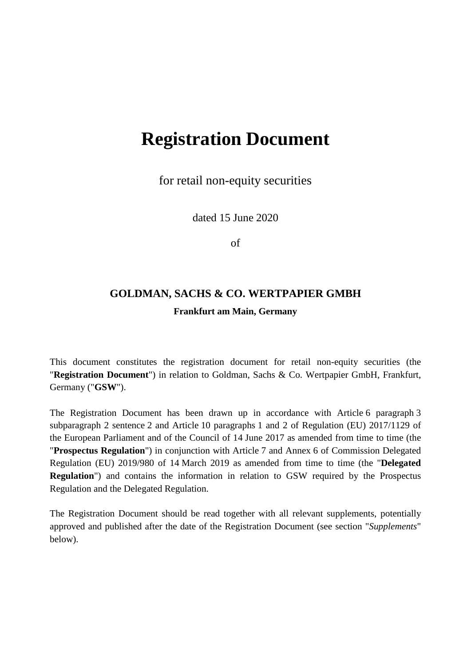# **Registration Document**

for retail non-equity securities

dated 15 June 2020

of

## **GOLDMAN, SACHS & CO. WERTPAPIER GMBH Frankfurt am Main, Germany**

This document constitutes the registration document for retail non-equity securities (the "**Registration Document**") in relation to Goldman, Sachs & Co. Wertpapier GmbH, Frankfurt, Germany ("**GSW**").

The Registration Document has been drawn up in accordance with Article 6 paragraph 3 subparagraph 2 sentence 2 and Article 10 paragraphs 1 and 2 of Regulation (EU) 2017/1129 of the European Parliament and of the Council of 14 June 2017 as amended from time to time (the "**Prospectus Regulation**") in conjunction with Article 7 and Annex 6 of Commission Delegated Regulation (EU) 2019/980 of 14 March 2019 as amended from time to time (the "**Delegated Regulation**") and contains the information in relation to GSW required by the Prospectus Regulation and the Delegated Regulation.

The Registration Document should be read together with all relevant supplements, potentially approved and published after the date of the Registration Document (see section "*Supplements*" below).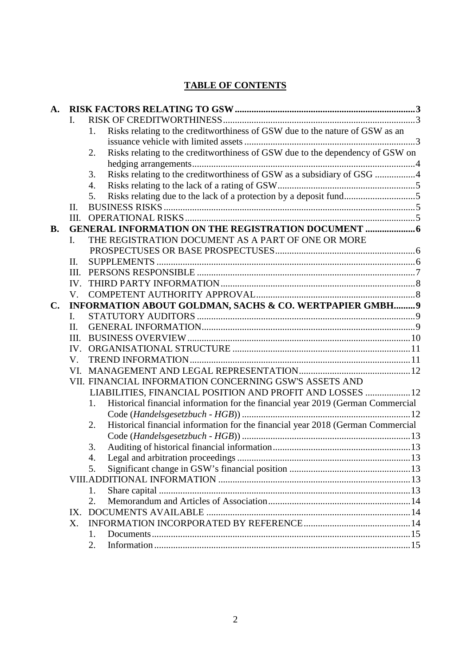## **TABLE OF CONTENTS**

| A.             |              |                                                          |                                                                                 |  |  |  |
|----------------|--------------|----------------------------------------------------------|---------------------------------------------------------------------------------|--|--|--|
|                | I.           |                                                          |                                                                                 |  |  |  |
|                |              | 1.                                                       | Risks relating to the creditworthiness of GSW due to the nature of GSW as an    |  |  |  |
|                |              |                                                          |                                                                                 |  |  |  |
|                |              | 2.                                                       | Risks relating to the creditworthiness of GSW due to the dependency of GSW on   |  |  |  |
|                |              |                                                          |                                                                                 |  |  |  |
|                |              | 3.                                                       | Risks relating to the creditworthiness of GSW as a subsidiary of GSG 4          |  |  |  |
|                |              | $\overline{4}$ .                                         |                                                                                 |  |  |  |
|                |              | 5.                                                       | Risks relating due to the lack of a protection by a deposit fund5               |  |  |  |
|                | $\Pi$ .      |                                                          |                                                                                 |  |  |  |
|                | III.         |                                                          |                                                                                 |  |  |  |
| <b>B.</b>      |              |                                                          |                                                                                 |  |  |  |
|                | L.           |                                                          | THE REGISTRATION DOCUMENT AS A PART OF ONE OR MORE                              |  |  |  |
|                |              |                                                          |                                                                                 |  |  |  |
|                | II.          |                                                          |                                                                                 |  |  |  |
|                | III.         |                                                          |                                                                                 |  |  |  |
|                | IV.          |                                                          |                                                                                 |  |  |  |
|                | V.           |                                                          |                                                                                 |  |  |  |
| $\mathbf{C}$ . |              | INFORMATION ABOUT GOLDMAN, SACHS & CO. WERTPAPIER GMBH 9 |                                                                                 |  |  |  |
|                | $\mathbf{L}$ |                                                          |                                                                                 |  |  |  |
|                | II.          |                                                          |                                                                                 |  |  |  |
|                | III.         |                                                          |                                                                                 |  |  |  |
|                | IV.          |                                                          |                                                                                 |  |  |  |
|                | V.           |                                                          |                                                                                 |  |  |  |
|                | VL.          |                                                          |                                                                                 |  |  |  |
|                |              |                                                          | VII. FINANCIAL INFORMATION CONCERNING GSW'S ASSETS AND                          |  |  |  |
|                |              |                                                          | LIABILITIES, FINANCIAL POSITION AND PROFIT AND LOSSES  12                       |  |  |  |
|                |              | 1.                                                       | Historical financial information for the financial year 2019 (German Commercial |  |  |  |
|                |              |                                                          |                                                                                 |  |  |  |
|                |              | 2.                                                       | Historical financial information for the financial year 2018 (German Commercial |  |  |  |
|                |              |                                                          |                                                                                 |  |  |  |
|                |              | 3.                                                       |                                                                                 |  |  |  |
|                |              | 4.                                                       |                                                                                 |  |  |  |
|                |              | 5.                                                       |                                                                                 |  |  |  |
|                |              |                                                          |                                                                                 |  |  |  |
|                |              | 1.                                                       |                                                                                 |  |  |  |
|                |              | 2.                                                       |                                                                                 |  |  |  |
|                | $IX_{-}$     |                                                          |                                                                                 |  |  |  |
|                | $X_{\cdot}$  |                                                          |                                                                                 |  |  |  |
|                |              | 1.                                                       |                                                                                 |  |  |  |
|                |              | 2.                                                       |                                                                                 |  |  |  |
|                |              |                                                          |                                                                                 |  |  |  |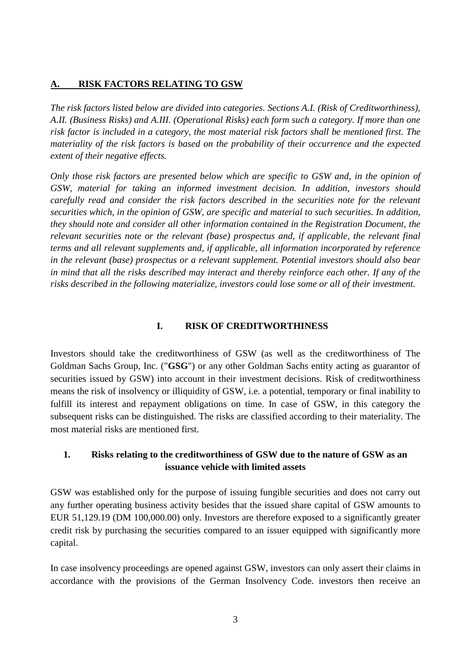#### <span id="page-2-0"></span>**A. RISK FACTORS RELATING TO GSW**

*The risk factors listed below are divided into categories. Sections A.I. (Risk of Creditworthiness), A.II. (Business Risks) and A.III. (Operational Risks) each form such a category. If more than one risk factor is included in a category, the most material risk factors shall be mentioned first. The materiality of the risk factors is based on the probability of their occurrence and the expected extent of their negative effects.* 

*Only those risk factors are presented below which are specific to GSW and, in the opinion of GSW, material for taking an informed investment decision. In addition, investors should carefully read and consider the risk factors described in the securities note for the relevant securities which, in the opinion of GSW, are specific and material to such securities. In addition, they should note and consider all other information contained in the Registration Document, the relevant securities note or the relevant (base) prospectus and, if applicable, the relevant final terms and all relevant supplements and, if applicable, all information incorporated by reference in the relevant (base) prospectus or a relevant supplement. Potential investors should also bear in mind that all the risks described may interact and thereby reinforce each other. If any of the risks described in the following materialize, investors could lose some or all of their investment.* 

#### <span id="page-2-1"></span>**I. RISK OF CREDITWORTHINESS**

Investors should take the creditworthiness of GSW (as well as the creditworthiness of The Goldman Sachs Group, Inc. ("**GSG**") or any other Goldman Sachs entity acting as guarantor of securities issued by GSW) into account in their investment decisions. Risk of creditworthiness means the risk of insolvency or illiquidity of GSW, i.e. a potential, temporary or final inability to fulfill its interest and repayment obligations on time. In case of GSW, in this category the subsequent risks can be distinguished. The risks are classified according to their materiality. The most material risks are mentioned first.

#### <span id="page-2-2"></span>**1. Risks relating to the creditworthiness of GSW due to the nature of GSW as an issuance vehicle with limited assets**

GSW was established only for the purpose of issuing fungible securities and does not carry out any further operating business activity besides that the issued share capital of GSW amounts to EUR 51,129.19 (DM 100,000.00) only. Investors are therefore exposed to a significantly greater credit risk by purchasing the securities compared to an issuer equipped with significantly more capital.

In case insolvency proceedings are opened against GSW, investors can only assert their claims in accordance with the provisions of the German Insolvency Code. investors then receive an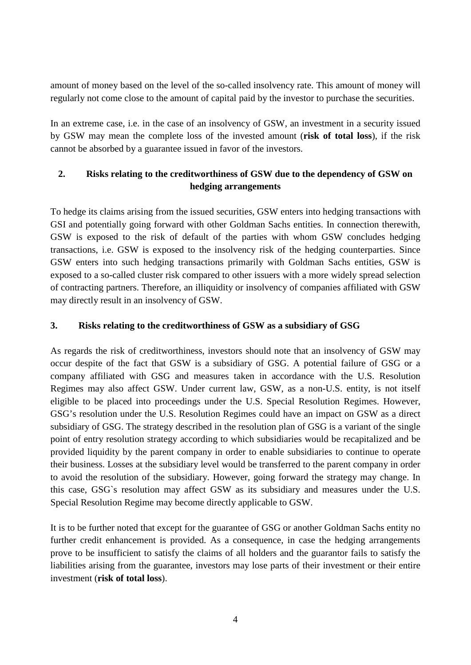amount of money based on the level of the so-called insolvency rate. This amount of money will regularly not come close to the amount of capital paid by the investor to purchase the securities.

In an extreme case, i.e. in the case of an insolvency of GSW, an investment in a security issued by GSW may mean the complete loss of the invested amount (**risk of total loss**), if the risk cannot be absorbed by a guarantee issued in favor of the investors.

## <span id="page-3-0"></span>**2. Risks relating to the creditworthiness of GSW due to the dependency of GSW on hedging arrangements**

To hedge its claims arising from the issued securities, GSW enters into hedging transactions with GSI and potentially going forward with other Goldman Sachs entities. In connection therewith, GSW is exposed to the risk of default of the parties with whom GSW concludes hedging transactions, i.e. GSW is exposed to the insolvency risk of the hedging counterparties. Since GSW enters into such hedging transactions primarily with Goldman Sachs entities, GSW is exposed to a so-called cluster risk compared to other issuers with a more widely spread selection of contracting partners. Therefore, an illiquidity or insolvency of companies affiliated with GSW may directly result in an insolvency of GSW.

#### <span id="page-3-1"></span>**3. Risks relating to the creditworthiness of GSW as a subsidiary of GSG**

As regards the risk of creditworthiness, investors should note that an insolvency of GSW may occur despite of the fact that GSW is a subsidiary of GSG. A potential failure of GSG or a company affiliated with GSG and measures taken in accordance with the U.S. Resolution Regimes may also affect GSW. Under current law, GSW, as a non-U.S. entity, is not itself eligible to be placed into proceedings under the U.S. Special Resolution Regimes. However, GSG's resolution under the U.S. Resolution Regimes could have an impact on GSW as a direct subsidiary of GSG. The strategy described in the resolution plan of GSG is a variant of the single point of entry resolution strategy according to which subsidiaries would be recapitalized and be provided liquidity by the parent company in order to enable subsidiaries to continue to operate their business. Losses at the subsidiary level would be transferred to the parent company in order to avoid the resolution of the subsidiary. However, going forward the strategy may change. In this case, GSG`s resolution may affect GSW as its subsidiary and measures under the U.S. Special Resolution Regime may become directly applicable to GSW.

It is to be further noted that except for the guarantee of GSG or another Goldman Sachs entity no further credit enhancement is provided. As a consequence, in case the hedging arrangements prove to be insufficient to satisfy the claims of all holders and the guarantor fails to satisfy the liabilities arising from the guarantee, investors may lose parts of their investment or their entire investment (**risk of total loss**).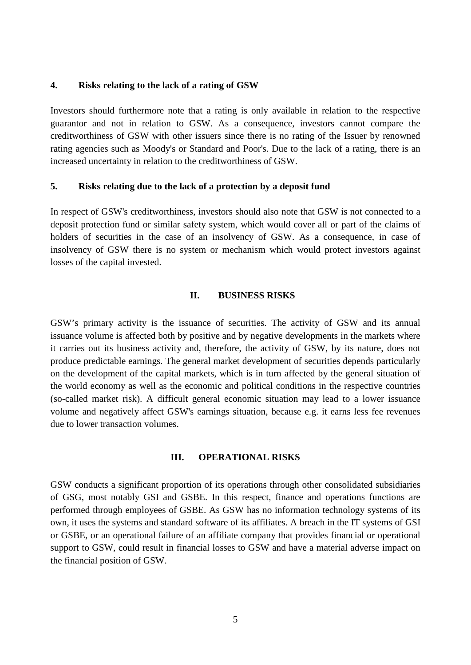#### <span id="page-4-0"></span>**4. Risks relating to the lack of a rating of GSW**

Investors should furthermore note that a rating is only available in relation to the respective guarantor and not in relation to GSW. As a consequence, investors cannot compare the creditworthiness of GSW with other issuers since there is no rating of the Issuer by renowned rating agencies such as Moody's or Standard and Poor's. Due to the lack of a rating, there is an increased uncertainty in relation to the creditworthiness of GSW.

#### <span id="page-4-1"></span>**5. Risks relating due to the lack of a protection by a deposit fund**

In respect of GSW's creditworthiness, investors should also note that GSW is not connected to a deposit protection fund or similar safety system, which would cover all or part of the claims of holders of securities in the case of an insolvency of GSW. As a consequence, in case of insolvency of GSW there is no system or mechanism which would protect investors against losses of the capital invested.

#### <span id="page-4-2"></span>**II. BUSINESS RISKS**

GSW's primary activity is the issuance of securities. The activity of GSW and its annual issuance volume is affected both by positive and by negative developments in the markets where it carries out its business activity and, therefore, the activity of GSW, by its nature, does not produce predictable earnings. The general market development of securities depends particularly on the development of the capital markets, which is in turn affected by the general situation of the world economy as well as the economic and political conditions in the respective countries (so-called market risk). A difficult general economic situation may lead to a lower issuance volume and negatively affect GSW's earnings situation, because e.g. it earns less fee revenues due to lower transaction volumes.

#### <span id="page-4-3"></span>**III. OPERATIONAL RISKS**

GSW conducts a significant proportion of its operations through other consolidated subsidiaries of GSG, most notably GSI and GSBE. In this respect, finance and operations functions are performed through employees of GSBE. As GSW has no information technology systems of its own, it uses the systems and standard software of its affiliates. A breach in the IT systems of GSI or GSBE, or an operational failure of an affiliate company that provides financial or operational support to GSW, could result in financial losses to GSW and have a material adverse impact on the financial position of GSW.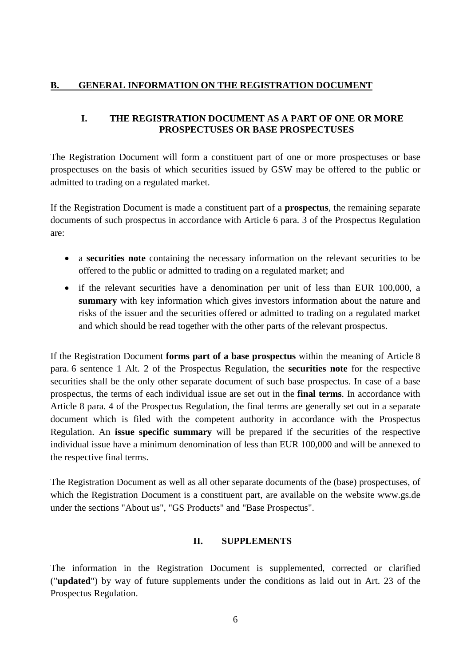#### <span id="page-5-0"></span>**B. GENERAL INFORMATION ON THE REGISTRATION DOCUMENT**

#### <span id="page-5-1"></span>**I. THE REGISTRATION DOCUMENT AS A PART OF ONE OR MORE PROSPECTUSES OR BASE PROSPECTUSES**

The Registration Document will form a constituent part of one or more prospectuses or base prospectuses on the basis of which securities issued by GSW may be offered to the public or admitted to trading on a regulated market.

If the Registration Document is made a constituent part of a **prospectus**, the remaining separate documents of such prospectus in accordance with Article 6 para. 3 of the Prospectus Regulation are:

- a **securities note** containing the necessary information on the relevant securities to be offered to the public or admitted to trading on a regulated market; and
- if the relevant securities have a denomination per unit of less than EUR 100,000, a **summary** with key information which gives investors information about the nature and risks of the issuer and the securities offered or admitted to trading on a regulated market and which should be read together with the other parts of the relevant prospectus.

If the Registration Document **forms part of a base prospectus** within the meaning of Article 8 para. 6 sentence 1 Alt. 2 of the Prospectus Regulation, the **securities note** for the respective securities shall be the only other separate document of such base prospectus. In case of a base prospectus, the terms of each individual issue are set out in the **final terms**. In accordance with Article 8 para. 4 of the Prospectus Regulation, the final terms are generally set out in a separate document which is filed with the competent authority in accordance with the Prospectus Regulation. An **issue specific summary** will be prepared if the securities of the respective individual issue have a minimum denomination of less than EUR 100,000 and will be annexed to the respective final terms.

The Registration Document as well as all other separate documents of the (base) prospectuses, of which the Registration Document is a constituent part, are available on the website www.gs.de under the sections "About us", "GS Products" and "Base Prospectus".

#### <span id="page-5-2"></span>**II. SUPPLEMENTS**

The information in the Registration Document is supplemented, corrected or clarified ("**updated**") by way of future supplements under the conditions as laid out in Art. 23 of the Prospectus Regulation.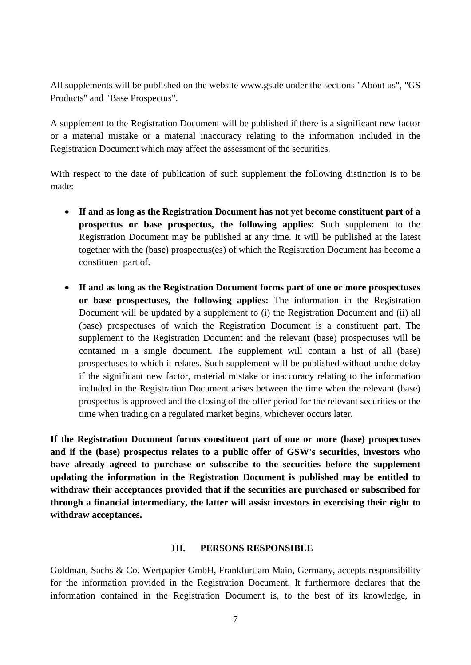All supplements will be published on the website www.gs.de under the sections "About us", "GS Products" and "Base Prospectus".

A supplement to the Registration Document will be published if there is a significant new factor or a material mistake or a material inaccuracy relating to the information included in the Registration Document which may affect the assessment of the securities.

With respect to the date of publication of such supplement the following distinction is to be made:

- **If and as long as the Registration Document has not yet become constituent part of a prospectus or base prospectus, the following applies:** Such supplement to the Registration Document may be published at any time. It will be published at the latest together with the (base) prospectus(es) of which the Registration Document has become a constituent part of.
- **If and as long as the Registration Document forms part of one or more prospectuses or base prospectuses, the following applies:** The information in the Registration Document will be updated by a supplement to (i) the Registration Document and (ii) all (base) prospectuses of which the Registration Document is a constituent part. The supplement to the Registration Document and the relevant (base) prospectuses will be contained in a single document. The supplement will contain a list of all (base) prospectuses to which it relates. Such supplement will be published without undue delay if the significant new factor, material mistake or inaccuracy relating to the information included in the Registration Document arises between the time when the relevant (base) prospectus is approved and the closing of the offer period for the relevant securities or the time when trading on a regulated market begins, whichever occurs later.

**If the Registration Document forms constituent part of one or more (base) prospectuses and if the (base) prospectus relates to a public offer of GSW's securities, investors who have already agreed to purchase or subscribe to the securities before the supplement updating the information in the Registration Document is published may be entitled to withdraw their acceptances provided that if the securities are purchased or subscribed for through a financial intermediary, the latter will assist investors in exercising their right to withdraw acceptances.** 

#### <span id="page-6-0"></span>**III. PERSONS RESPONSIBLE**

Goldman, Sachs & Co. Wertpapier GmbH, Frankfurt am Main, Germany, accepts responsibility for the information provided in the Registration Document. It furthermore declares that the information contained in the Registration Document is, to the best of its knowledge, in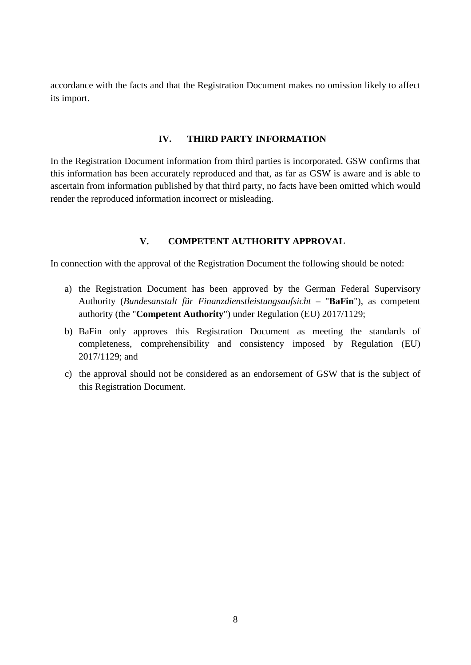accordance with the facts and that the Registration Document makes no omission likely to affect its import.

#### <span id="page-7-0"></span>**IV. THIRD PARTY INFORMATION**

In the Registration Document information from third parties is incorporated. GSW confirms that this information has been accurately reproduced and that, as far as GSW is aware and is able to ascertain from information published by that third party, no facts have been omitted which would render the reproduced information incorrect or misleading.

#### <span id="page-7-1"></span>**V. COMPETENT AUTHORITY APPROVAL**

In connection with the approval of the Registration Document the following should be noted:

- a) the Registration Document has been approved by the German Federal Supervisory Authority (*Bundesanstalt für Finanzdienstleistungsaufsicht –* "**BaFin**"), as competent authority (the "**Competent Authority**") under Regulation (EU) 2017/1129;
- b) BaFin only approves this Registration Document as meeting the standards of completeness, comprehensibility and consistency imposed by Regulation (EU) 2017/1129; and
- c) the approval should not be considered as an endorsement of GSW that is the subject of this Registration Document.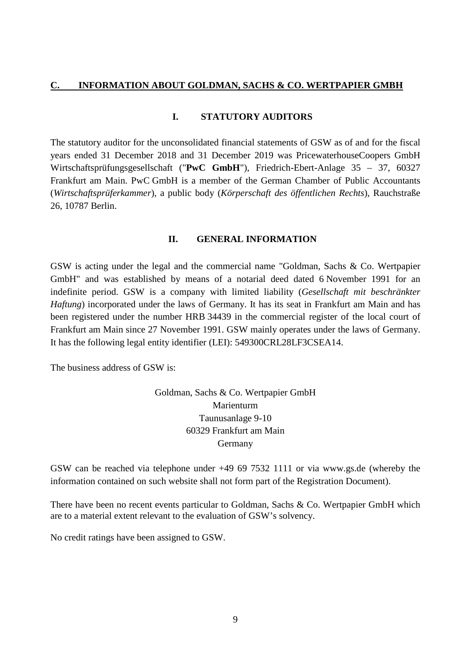#### <span id="page-8-0"></span>**C. INFORMATION ABOUT GOLDMAN, SACHS & CO. WERTPAPIER GMBH**

#### <span id="page-8-1"></span>**I. STATUTORY AUDITORS**

The statutory auditor for the unconsolidated financial statements of GSW as of and for the fiscal years ended 31 December 2018 and 31 December 2019 was PricewaterhouseCoopers GmbH Wirtschaftsprüfungsgesellschaft ("**PwC GmbH**"), Friedrich-Ebert-Anlage 35 – 37, 60327 Frankfurt am Main. PwC GmbH is a member of the German Chamber of Public Accountants (*Wirtschaftsprüferkammer*), a public body (*Körperschaft des öffentlichen Rechts*), Rauchstraße 26, 10787 Berlin.

#### <span id="page-8-2"></span>**II. GENERAL INFORMATION**

GSW is acting under the legal and the commercial name "Goldman, Sachs & Co. Wertpapier GmbH" and was established by means of a notarial deed dated 6 November 1991 for an indefinite period. GSW is a company with limited liability (*Gesellschaft mit beschränkter Haftung*) incorporated under the laws of Germany. It has its seat in Frankfurt am Main and has been registered under the number HRB 34439 in the commercial register of the local court of Frankfurt am Main since 27 November 1991. GSW mainly operates under the laws of Germany. It has the following legal entity identifier (LEI): 549300CRL28LF3CSEA14.

The business address of GSW is:

Goldman, Sachs & Co. Wertpapier GmbH Marienturm Taunusanlage 9-10 60329 Frankfurt am Main Germany

GSW can be reached via telephone under +49 69 7532 1111 or via [www.gs.de](http://www.gs.de/) (whereby the information contained on such website shall not form part of the Registration Document).

There have been no recent events particular to Goldman, Sachs & Co. Wertpapier GmbH which are to a material extent relevant to the evaluation of GSW's solvency.

No credit ratings have been assigned to GSW.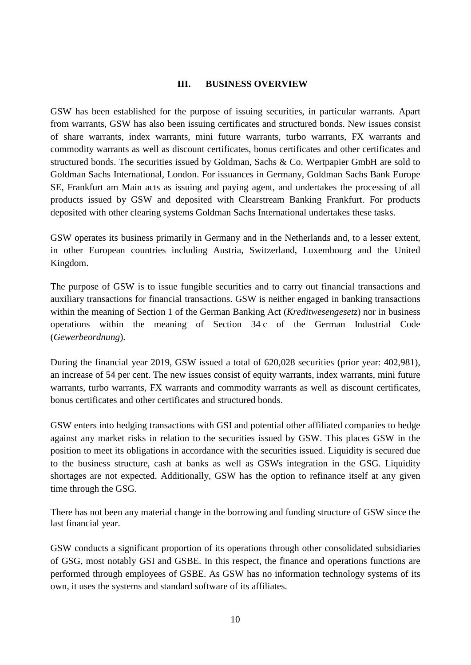#### <span id="page-9-0"></span>**III. BUSINESS OVERVIEW**

GSW has been established for the purpose of issuing securities, in particular warrants. Apart from warrants, GSW has also been issuing certificates and structured bonds. New issues consist of share warrants, index warrants, mini future warrants, turbo warrants, FX warrants and commodity warrants as well as discount certificates, bonus certificates and other certificates and structured bonds. The securities issued by Goldman, Sachs & Co. Wertpapier GmbH are sold to Goldman Sachs International, London. For issuances in Germany, Goldman Sachs Bank Europe SE, Frankfurt am Main acts as issuing and paying agent, and undertakes the processing of all products issued by GSW and deposited with Clearstream Banking Frankfurt. For products deposited with other clearing systems Goldman Sachs International undertakes these tasks.

GSW operates its business primarily in Germany and in the Netherlands and, to a lesser extent, in other European countries including Austria, Switzerland, Luxembourg and the United Kingdom.

The purpose of GSW is to issue fungible securities and to carry out financial transactions and auxiliary transactions for financial transactions. GSW is neither engaged in banking transactions within the meaning of Section 1 of the German Banking Act (*Kreditwesengesetz*) nor in business operations within the meaning of Section 34 c of the German Industrial Code (*Gewerbeordnung*).

During the financial year 2019, GSW issued a total of 620,028 securities (prior year: 402,981), an increase of 54 per cent. The new issues consist of equity warrants, index warrants, mini future warrants, turbo warrants, FX warrants and commodity warrants as well as discount certificates, bonus certificates and other certificates and structured bonds.

GSW enters into hedging transactions with GSI and potential other affiliated companies to hedge against any market risks in relation to the securities issued by GSW. This places GSW in the position to meet its obligations in accordance with the securities issued. Liquidity is secured due to the business structure, cash at banks as well as GSWs integration in the GSG. Liquidity shortages are not expected. Additionally, GSW has the option to refinance itself at any given time through the GSG.

There has not been any material change in the borrowing and funding structure of GSW since the last financial year.

GSW conducts a significant proportion of its operations through other consolidated subsidiaries of GSG, most notably GSI and GSBE. In this respect, the finance and operations functions are performed through employees of GSBE. As GSW has no information technology systems of its own, it uses the systems and standard software of its affiliates.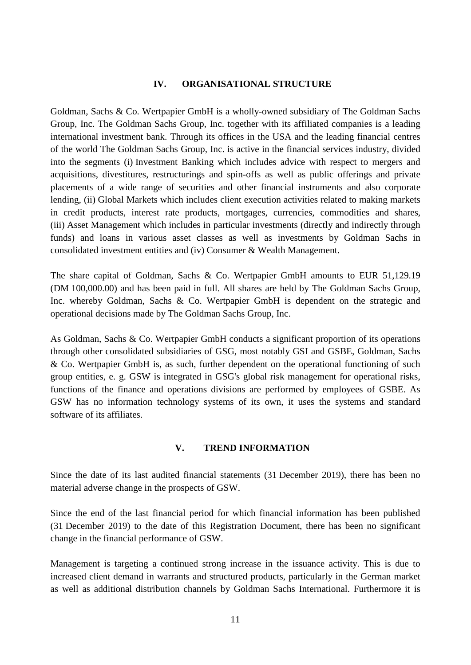#### <span id="page-10-0"></span>**IV. ORGANISATIONAL STRUCTURE**

Goldman, Sachs & Co. Wertpapier GmbH is a wholly-owned subsidiary of The Goldman Sachs Group, Inc. The Goldman Sachs Group, Inc. together with its affiliated companies is a leading international investment bank. Through its offices in the USA and the leading financial centres of the world The Goldman Sachs Group, Inc. is active in the financial services industry, divided into the segments (i) Investment Banking which includes advice with respect to mergers and acquisitions, divestitures, restructurings and spin-offs as well as public offerings and private placements of a wide range of securities and other financial instruments and also corporate lending, (ii) Global Markets which includes client execution activities related to making markets in credit products, interest rate products, mortgages, currencies, commodities and shares, (iii) Asset Management which includes in particular investments (directly and indirectly through funds) and loans in various asset classes as well as investments by Goldman Sachs in consolidated investment entities and (iv) Consumer & Wealth Management.

The share capital of Goldman, Sachs & Co. Wertpapier GmbH amounts to EUR 51,129.19 (DM 100,000.00) and has been paid in full. All shares are held by The Goldman Sachs Group, Inc. whereby Goldman, Sachs & Co. Wertpapier GmbH is dependent on the strategic and operational decisions made by The Goldman Sachs Group, Inc.

As Goldman, Sachs & Co. Wertpapier GmbH conducts a significant proportion of its operations through other consolidated subsidiaries of GSG, most notably GSI and GSBE, Goldman, Sachs & Co. Wertpapier GmbH is, as such, further dependent on the operational functioning of such group entities, e. g. GSW is integrated in GSG's global risk management for operational risks, functions of the finance and operations divisions are performed by employees of GSBE. As GSW has no information technology systems of its own, it uses the systems and standard software of its affiliates.

#### <span id="page-10-1"></span>**V. TREND INFORMATION**

Since the date of its last audited financial statements (31 December 2019), there has been no material adverse change in the prospects of GSW.

Since the end of the last financial period for which financial information has been published (31 December 2019) to the date of this Registration Document, there has been no significant change in the financial performance of GSW.

Management is targeting a continued strong increase in the issuance activity. This is due to increased client demand in warrants and structured products, particularly in the German market as well as additional distribution channels by Goldman Sachs International. Furthermore it is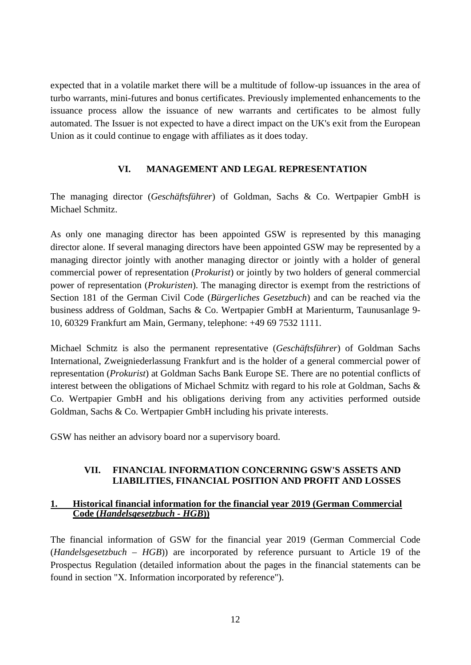expected that in a volatile market there will be a multitude of follow-up issuances in the area of turbo warrants, mini-futures and bonus certificates. Previously implemented enhancements to the issuance process allow the issuance of new warrants and certificates to be almost fully automated. The Issuer is not expected to have a direct impact on the UK's exit from the European Union as it could continue to engage with affiliates as it does today.

#### <span id="page-11-0"></span>**VI. MANAGEMENT AND LEGAL REPRESENTATION**

The managing director (*Geschäftsführer*) of Goldman, Sachs & Co. Wertpapier GmbH is Michael Schmitz.

As only one managing director has been appointed GSW is represented by this managing director alone. If several managing directors have been appointed GSW may be represented by a managing director jointly with another managing director or jointly with a holder of general commercial power of representation (*Prokurist*) or jointly by two holders of general commercial power of representation (*Prokuristen*). The managing director is exempt from the restrictions of Section 181 of the German Civil Code (*Bürgerliches Gesetzbuch*) and can be reached via the business address of Goldman, Sachs & Co. Wertpapier GmbH at Marienturm, Taunusanlage 9- 10, 60329 Frankfurt am Main, Germany, telephone: +49 69 7532 1111.

Michael Schmitz is also the permanent representative (*Geschäftsführer*) of Goldman Sachs International, Zweigniederlassung Frankfurt and is the holder of a general commercial power of representation (*Prokurist*) at Goldman Sachs Bank Europe SE. There are no potential conflicts of interest between the obligations of Michael Schmitz with regard to his role at Goldman, Sachs & Co. Wertpapier GmbH and his obligations deriving from any activities performed outside Goldman, Sachs & Co. Wertpapier GmbH including his private interests.

GSW has neither an advisory board nor a supervisory board.

#### <span id="page-11-3"></span><span id="page-11-1"></span>**VII. FINANCIAL INFORMATION CONCERNING GSW'S ASSETS AND LIABILITIES, FINANCIAL POSITION AND PROFIT AND LOSSES**

#### <span id="page-11-2"></span>**1. Historical financial information for the financial year 2019 (German Commercial Code (***Handelsgesetzbuch - HGB***))**

The financial information of GSW for the financial year 2019 (German Commercial Code (*Handelsgesetzbuch – HGB*)) are incorporated by reference pursuant to Article 19 of the Prospectus Regulation (detailed information about the pages in the financial statements can be found in section "X. Information incorporated by reference").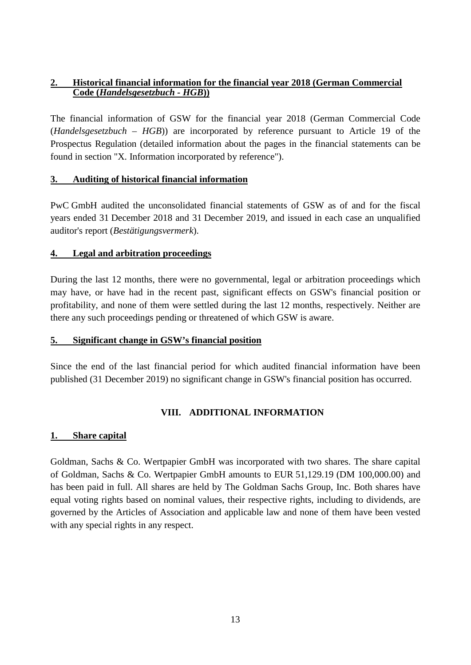#### <span id="page-12-0"></span>**2. Historical financial information for the financial year 2018 (German Commercial Code (***Handelsgesetzbuch - HGB***))**

<span id="page-12-6"></span>The financial information of GSW for the financial year 2018 (German Commercial Code (*Handelsgesetzbuch – HGB*)) are incorporated by reference pursuant to Article 19 of the Prospectus Regulation (detailed information about the pages in the financial statements can be found in section "X. Information incorporated by reference").

#### <span id="page-12-1"></span>**3. Auditing of historical financial information**

PwC GmbH audited the unconsolidated financial statements of GSW as of and for the fiscal years ended 31 December 2018 and 31 December 2019, and issued in each case an unqualified auditor's report (*Bestätigungsvermerk*).

#### <span id="page-12-2"></span>**4. Legal and arbitration proceedings**

During the last 12 months, there were no governmental, legal or arbitration proceedings which may have, or have had in the recent past, significant effects on GSW's financial position or profitability, and none of them were settled during the last 12 months, respectively. Neither are there any such proceedings pending or threatened of which GSW is aware.

#### <span id="page-12-3"></span>**5. Significant change in GSW's financial position**

Since the end of the last financial period for which audited financial information have been published (31 December 2019) no significant change in GSW's financial position has occurred.

## <span id="page-12-4"></span>**VIII. ADDITIONAL INFORMATION**

#### <span id="page-12-5"></span>**1. Share capital**

Goldman, Sachs & Co. Wertpapier GmbH was incorporated with two shares. The share capital of Goldman, Sachs & Co. Wertpapier GmbH amounts to EUR 51,129.19 (DM 100,000.00) and has been paid in full. All shares are held by The Goldman Sachs Group, Inc. Both shares have equal voting rights based on nominal values, their respective rights, including to dividends, are governed by the Articles of Association and applicable law and none of them have been vested with any special rights in any respect.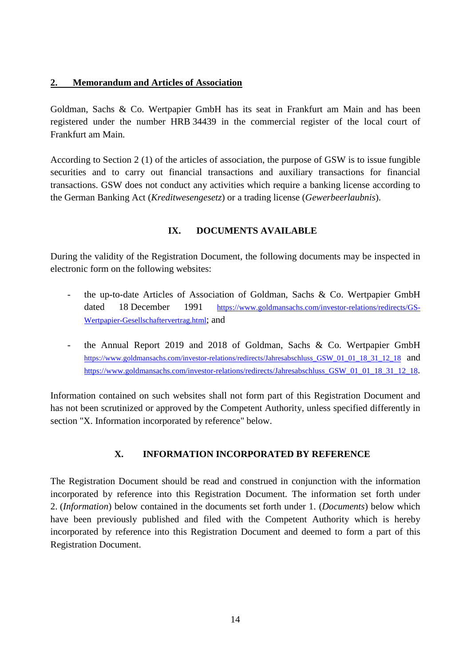#### <span id="page-13-0"></span>**2. Memorandum and Articles of Association**

Goldman, Sachs & Co. Wertpapier GmbH has its seat in Frankfurt am Main and has been registered under the number HRB 34439 in the commercial register of the local court of Frankfurt am Main.

According to Section 2 (1) of the articles of association, the purpose of GSW is to issue fungible securities and to carry out financial transactions and auxiliary transactions for financial transactions. GSW does not conduct any activities which require a banking license according to the German Banking Act (*Kreditwesengesetz*) or a trading license (*Gewerbeerlaubnis*).

#### <span id="page-13-1"></span>**IX. DOCUMENTS AVAILABLE**

During the validity of the Registration Document, the following documents may be inspected in electronic form on the following websites:

- the up-to-date Articles of Association of Goldman, Sachs & Co. Wertpapier GmbH dated 18 December 1991 [https://www.goldmansachs.com/investor-relations/redirects/GS-](https://www.goldmansachs.com/investor-relations/redirects/GS-Wertpapier-Gesellschaftervertrag.html)[Wertpapier-Gesellschaftervertrag.html](https://www.goldmansachs.com/investor-relations/redirects/GS-Wertpapier-Gesellschaftervertrag.html); and
- the Annual Report 2019 and 2018 of Goldman, Sachs & Co. Wertpapier GmbH [https://www.goldmansachs.com/investor-relations/redirects/Jahresabschluss\\_GSW\\_01\\_01\\_18\\_31\\_12\\_18](https://www.goldmansachs.com/investor-relations/redirects/Jahresabschluss_GSW_01_01_18_31_12_18)\_and https://www.goldmansachs.com/investor-relations/redirects/Jahresabschluss GSW 01 01 18 31 12 18.

Information contained on such websites shall not form part of this Registration Document and has not been scrutinized or approved by the Competent Authority, unless specified differently in section "X. Information incorporated by reference" below.

## <span id="page-13-2"></span>**X. INFORMATION INCORPORATED BY REFERENCE**

The Registration Document should be read and construed in conjunction with the information incorporated by reference into this Registration Document. The information set forth under 2. (*Information*) below contained in the documents set forth under 1. (*Documents*) below which have been previously published and filed with the Competent Authority which is hereby incorporated by reference into this Registration Document and deemed to form a part of this Registration Document.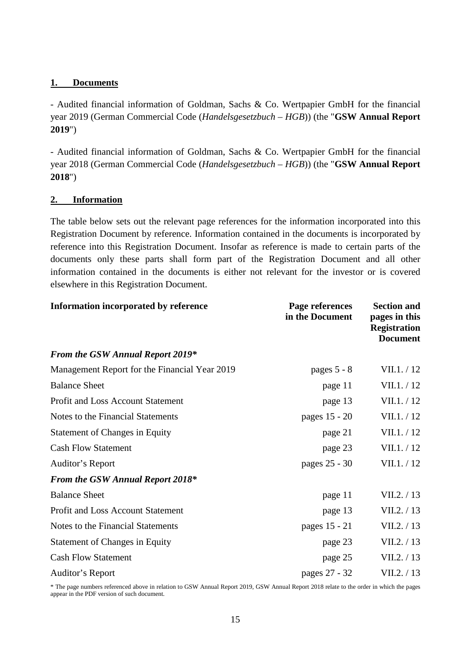#### <span id="page-14-0"></span>**1. Documents**

- Audited financial information of Goldman, Sachs & Co. Wertpapier GmbH for the financial year 2019 (German Commercial Code (*Handelsgesetzbuch – HGB*)) (the "**GSW Annual Report 2019**")

- Audited financial information of Goldman, Sachs & Co. Wertpapier GmbH for the financial year 2018 (German Commercial Code (*Handelsgesetzbuch – HGB*)) (the "**GSW Annual Report 2018**")

#### <span id="page-14-1"></span>**2. Information**

The table below sets out the relevant page references for the information incorporated into this Registration Document by reference. Information contained in the documents is incorporated by reference into this Registration Document. Insofar as reference is made to certain parts of the documents only these parts shall form part of the Registration Document and all other information contained in the documents is either not relevant for the investor or is covered elsewhere in this Registration Document.

| Information incorporated by reference         | Page references<br>in the Document | <b>Section and</b><br>pages in this<br><b>Registration</b><br><b>Document</b> |  |
|-----------------------------------------------|------------------------------------|-------------------------------------------------------------------------------|--|
| <b>From the GSW Annual Report 2019*</b>       |                                    |                                                                               |  |
| Management Report for the Financial Year 2019 | pages $5 - 8$                      | VII.1. / 12                                                                   |  |
| <b>Balance Sheet</b>                          | page 11                            | VII.1. / 12                                                                   |  |
| <b>Profit and Loss Account Statement</b>      | page 13                            | VII.1. / 12                                                                   |  |
| Notes to the Financial Statements             | pages 15 - 20                      | VII.1. / 12                                                                   |  |
| <b>Statement of Changes in Equity</b>         | page 21                            | VII.1. / 12                                                                   |  |
| <b>Cash Flow Statement</b>                    | page 23                            | VII.1. / 12                                                                   |  |
| Auditor's Report                              | pages 25 - 30                      | VII.1. / 12                                                                   |  |
| <b>From the GSW Annual Report 2018*</b>       |                                    |                                                                               |  |
| <b>Balance Sheet</b>                          | page 11                            | VII.2. / 13                                                                   |  |
| Profit and Loss Account Statement             | page 13                            | VII.2. / 13                                                                   |  |
| Notes to the Financial Statements             | pages 15 - 21                      | VII.2. / 13                                                                   |  |
| <b>Statement of Changes in Equity</b>         | page 23                            | VII.2. / 13                                                                   |  |
| <b>Cash Flow Statement</b>                    | page 25                            | VII.2. / 13                                                                   |  |
| Auditor's Report                              | pages 27 - 32                      | VII.2. / 13                                                                   |  |

\* The page numbers referenced above in relation to GSW Annual Report 2019, GSW Annual Report 2018 relate to the order in which the pages appear in the PDF version of such document.